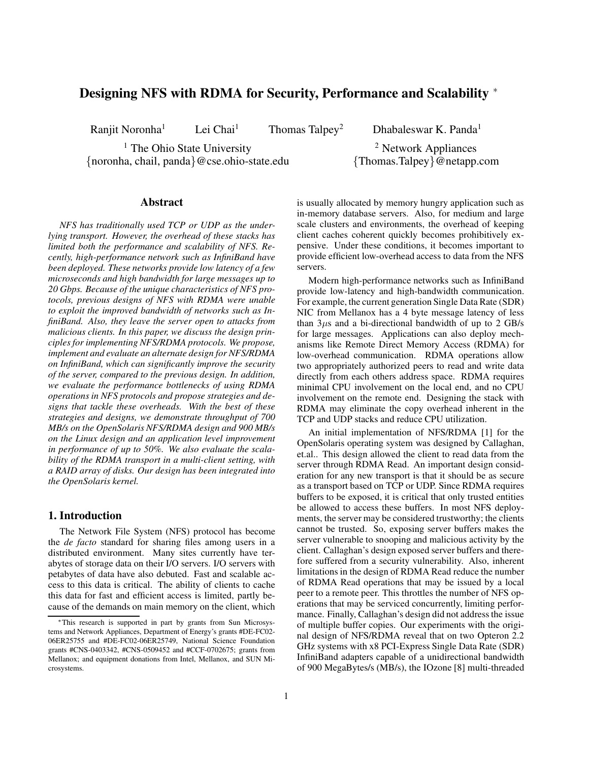# **Designing NFS with RDMA for Security, Performance and Scalability** <sup>∗</sup>

Ranjit Noronha<sup>1</sup> Lei Chai<sup>1</sup> Thomas Talpey<sup>2</sup>

<sup>1</sup> The Ohio State University {noronha, chail, panda}@cse.ohio-state.edu Dhabaleswar K. Panda<sup>1</sup>

<sup>2</sup> Network Appliances {Thomas.Talpey}@netapp.com

## **Abstract**

*NFS has traditionally used TCP or UDP as the underlying transport. However, the overhead of these stacks has limited both the performance and scalability of NFS. Recently, high-performance network such as InfiniBand have been deployed. These networks provide low latency of a few microseconds and high bandwidth for large messages up to 20 Gbps. Because of the unique characteristics of NFS protocols, previous designs of NFS with RDMA were unable to exploit the improved bandwidth of networks such as InfiniBand. Also, they leave the server open to attacks from malicious clients. In this paper, we discuss the design principles for implementing NFS/RDMA protocols. We propose, implement and evaluate an alternate design for NFS/RDMA on InfiniBand, which can significantly improve the security of the server, compared to the previous design. In addition, we evaluate the performance bottlenecks of using RDMA operations in NFS protocols and propose strategies and designs that tackle these overheads. With the best of these strategies and designs, we demonstrate throughput of 700 MB/s on the OpenSolaris NFS/RDMA design and 900 MB/s on the Linux design and an application level improvement in performance of up to 50%. We also evaluate the scalability of the RDMA transport in a multi-client setting, with a RAID array of disks. Our design has been integrated into the OpenSolaris kernel.*

### **1. Introduction**

The Network File System (NFS) protocol has become the *de facto* standard for sharing files among users in a distributed environment. Many sites currently have terabytes of storage data on their I/O servers. I/O servers with petabytes of data have also debuted. Fast and scalable access to this data is critical. The ability of clients to cache this data for fast and efficient access is limited, partly because of the demands on main memory on the client, which

is usually allocated by memory hungry application such as in-memory database servers. Also, for medium and large scale clusters and environments, the overhead of keeping client caches coherent quickly becomes prohibitively expensive. Under these conditions, it becomes important to provide efficient low-overhead access to data from the NFS servers.

Modern high-performance networks such as InfiniBand provide low-latency and high-bandwidth communication. For example, the current generation Single Data Rate (SDR) NIC from Mellanox has a 4 byte message latency of less than  $3\mu s$  and a bi-directional bandwidth of up to 2 GB/s for large messages. Applications can also deploy mechanisms like Remote Direct Memory Access (RDMA) for low-overhead communication. RDMA operations allow two appropriately authorized peers to read and write data directly from each others address space. RDMA requires minimal CPU involvement on the local end, and no CPU involvement on the remote end. Designing the stack with RDMA may eliminate the copy overhead inherent in the TCP and UDP stacks and reduce CPU utilization.

An initial implementation of NFS/RDMA [1] for the OpenSolaris operating system was designed by Callaghan, et.al.. This design allowed the client to read data from the server through RDMA Read. An important design consideration for any new transport is that it should be as secure as a transport based on TCP or UDP. Since RDMA requires buffers to be exposed, it is critical that only trusted entities be allowed to access these buffers. In most NFS deployments, the server may be considered trustworthy; the clients cannot be trusted. So, exposing server buffers makes the server vulnerable to snooping and malicious activity by the client. Callaghan's design exposed server buffers and therefore suffered from a security vulnerability. Also, inherent limitations in the design of RDMA Read reduce the number of RDMA Read operations that may be issued by a local peer to a remote peer. This throttles the number of NFS operations that may be serviced concurrently, limiting performance. Finally, Callaghan's design did not address the issue of multiple buffer copies. Our experiments with the original design of NFS/RDMA reveal that on two Opteron 2.2 GHz systems with x8 PCI-Express Single Data Rate (SDR) InfiniBand adapters capable of a unidirectional bandwidth of 900 MegaBytes/s (MB/s), the IOzone [8] multi-threaded

<sup>∗</sup>This research is supported in part by grants from Sun Microsystems and Network Appliances, Department of Energy's grants #DE-FC02- 06ER25755 and #DE-FC02-06ER25749, National Science Foundation grants #CNS-0403342, #CNS-0509452 and #CCF-0702675; grants from Mellanox; and equipment donations from Intel, Mellanox, and SUN Microsystems.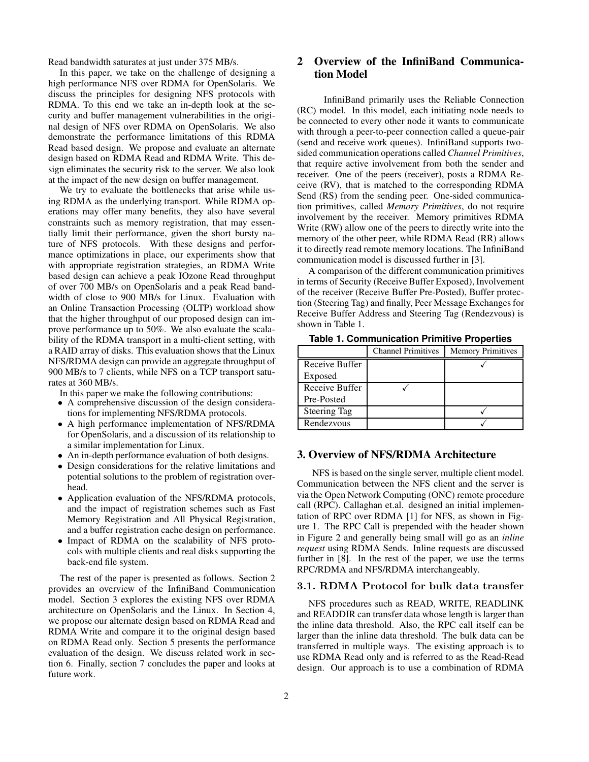Read bandwidth saturates at just under 375 MB/s.

In this paper, we take on the challenge of designing a high performance NFS over RDMA for OpenSolaris. We discuss the principles for designing NFS protocols with RDMA. To this end we take an in-depth look at the security and buffer management vulnerabilities in the original design of NFS over RDMA on OpenSolaris. We also demonstrate the performance limitations of this RDMA Read based design. We propose and evaluate an alternate design based on RDMA Read and RDMA Write. This design eliminates the security risk to the server. We also look at the impact of the new design on buffer management.

We try to evaluate the bottlenecks that arise while using RDMA as the underlying transport. While RDMA operations may offer many benefits, they also have several constraints such as memory registration, that may essentially limit their performance, given the short bursty nature of NFS protocols. With these designs and performance optimizations in place, our experiments show that with appropriate registration strategies, an RDMA Write based design can achieve a peak IOzone Read throughput of over 700 MB/s on OpenSolaris and a peak Read bandwidth of close to 900 MB/s for Linux. Evaluation with an Online Transaction Processing (OLTP) workload show that the higher throughput of our proposed design can improve performance up to 50%. We also evaluate the scalability of the RDMA transport in a multi-client setting, with a RAID array of disks. This evaluation shows that the Linux NFS/RDMA design can provide an aggregate throughput of 900 MB/s to 7 clients, while NFS on a TCP transport saturates at 360 MB/s.

In this paper we make the following contributions:

- A comprehensive discussion of the design considerations for implementing NFS/RDMA protocols.
- A high performance implementation of NFS/RDMA for OpenSolaris, and a discussion of its relationship to a similar implementation for Linux.
- An in-depth performance evaluation of both designs.
- Design considerations for the relative limitations and potential solutions to the problem of registration overhead.
- Application evaluation of the NFS/RDMA protocols, and the impact of registration schemes such as Fast Memory Registration and All Physical Registration, and a buffer registration cache design on performance.
- Impact of RDMA on the scalability of NFS protocols with multiple clients and real disks supporting the back-end file system.

The rest of the paper is presented as follows. Section 2 provides an overview of the InfiniBand Communication model. Section 3 explores the existing NFS over RDMA architecture on OpenSolaris and the Linux. In Section 4, we propose our alternate design based on RDMA Read and RDMA Write and compare it to the original design based on RDMA Read only. Section 5 presents the performance evaluation of the design. We discuss related work in section 6. Finally, section 7 concludes the paper and looks at future work.

## **2 Overview of the InfiniBand Communication Model**

InfiniBand primarily uses the Reliable Connection (RC) model. In this model, each initiating node needs to be connected to every other node it wants to communicate with through a peer-to-peer connection called a queue-pair (send and receive work queues). InfiniBand supports twosided communication operations called *Channel Primitives*, that require active involvement from both the sender and receiver. One of the peers (receiver), posts a RDMA Receive (RV), that is matched to the corresponding RDMA Send (RS) from the sending peer. One-sided communication primitives, called *Memory Primitives*, do not require involvement by the receiver. Memory primitives RDMA Write (RW) allow one of the peers to directly write into the memory of the other peer, while RDMA Read (RR) allows it to directly read remote memory locations. The InfiniBand communication model is discussed further in [3].

A comparison of the different communication primitives in terms of Security (Receive Buffer Exposed), Involvement of the receiver (Receive Buffer Pre-Posted), Buffer protection (Steering Tag) and finally, Peer Message Exchanges for Receive Buffer Address and Steering Tag (Rendezvous) is shown in Table 1.

|                | <b>Channel Primitives</b> | <b>Memory Primitives</b> |
|----------------|---------------------------|--------------------------|
| Receive Buffer |                           |                          |
| Exposed        |                           |                          |
| Receive Buffer |                           |                          |
| Pre-Posted     |                           |                          |
| Steering Tag   |                           |                          |
| Rendezvous     |                           |                          |

**Table 1. Communication Primitive Properties**

#### **3. Overview of NFS/RDMA Architecture**

NFS is based on the single server, multiple client model. Communication between the NFS client and the server is via the Open Network Computing (ONC) remote procedure call (RPC). Callaghan et.al. designed an initial implementation of RPC over RDMA [1] for NFS, as shown in Figure 1. The RPC Call is prepended with the header shown in Figure 2 and generally being small will go as an *inline request* using RDMA Sends. Inline requests are discussed further in [8]. In the rest of the paper, we use the terms RPC/RDMA and NFS/RDMA interchangeably.

#### 3.1. RDMA Protocol for bulk data transfer

NFS procedures such as READ, WRITE, READLINK and READDIR can transfer data whose length is larger than the inline data threshold. Also, the RPC call itself can be larger than the inline data threshold. The bulk data can be transferred in multiple ways. The existing approach is to use RDMA Read only and is referred to as the Read-Read design. Our approach is to use a combination of RDMA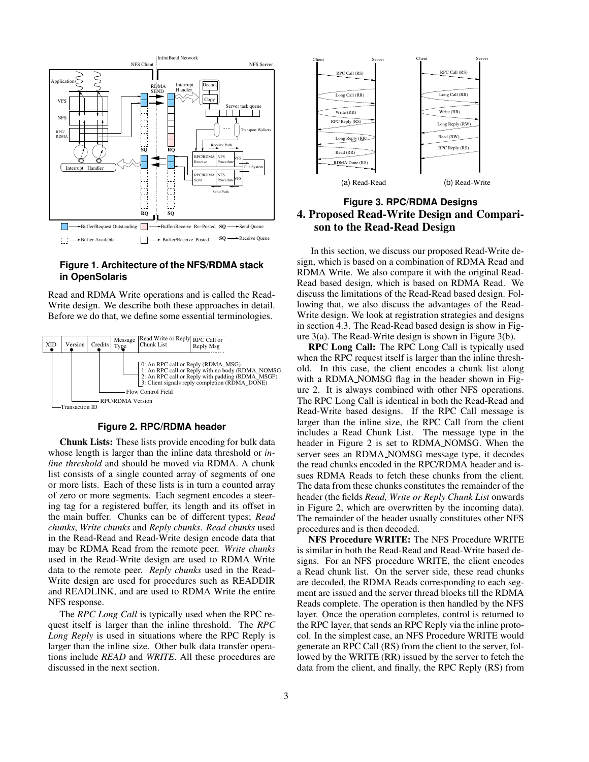

#### **Figure 1. Architecture of the NFS/RDMA stack in OpenSolaris**

Read and RDMA Write operations and is called the Read-Write design. We describe both these approaches in detail. Before we do that, we define some essential terminologies.



#### **Figure 2. RPC/RDMA header**

**Chunk Lists:** These lists provide encoding for bulk data whose length is larger than the inline data threshold or *inline threshold* and should be moved via RDMA. A chunk list consists of a single counted array of segments of one or more lists. Each of these lists is in turn a counted array of zero or more segments. Each segment encodes a steering tag for a registered buffer, its length and its offset in the main buffer. Chunks can be of different types; *Read chunks*, *Write chunks* and *Reply chunks*. *Read chunks* used in the Read-Read and Read-Write design encode data that may be RDMA Read from the remote peer. *Write chunks* used in the Read-Write design are used to RDMA Write data to the remote peer. *Reply chunks* used in the Read-Write design are used for procedures such as READDIR and READLINK, and are used to RDMA Write the entire NFS response.

The *RPC Long Call* is typically used when the RPC request itself is larger than the inline threshold. The *RPC Long Reply* is used in situations where the RPC Reply is larger than the inline size. Other bulk data transfer operations include *READ* and *WRITE*. All these procedures are discussed in the next section.



## **Figure 3. RPC/RDMA Designs 4. Proposed Read-Write Design and Comparison to the Read-Read Design**

In this section, we discuss our proposed Read-Write design, which is based on a combination of RDMA Read and RDMA Write. We also compare it with the original Read-Read based design, which is based on RDMA Read. We discuss the limitations of the Read-Read based design. Following that, we also discuss the advantages of the Read-Write design. We look at registration strategies and designs in section 4.3. The Read-Read based design is show in Figure 3(a). The Read-Write design is shown in Figure 3(b).

**RPC Long Call:** The RPC Long Call is typically used when the RPC request itself is larger than the inline threshold. In this case, the client encodes a chunk list along with a RDMA NOMSG flag in the header shown in Figure 2. It is always combined with other NFS operations. The RPC Long Call is identical in both the Read-Read and Read-Write based designs. If the RPC Call message is larger than the inline size, the RPC Call from the client includes a Read Chunk List. The message type in the header in Figure 2 is set to RDMA NOMSG. When the server sees an RDMA NOMSG message type, it decodes the read chunks encoded in the RPC/RDMA header and issues RDMA Reads to fetch these chunks from the client. The data from these chunks constitutes the remainder of the header (the fields *Read, Write or Reply Chunk List* onwards in Figure 2, which are overwritten by the incoming data). The remainder of the header usually constitutes other NFS procedures and is then decoded.

**NFS Procedure WRITE:** The NFS Procedure WRITE is similar in both the Read-Read and Read-Write based designs. For an NFS procedure WRITE, the client encodes a Read chunk list. On the server side, these read chunks are decoded, the RDMA Reads corresponding to each segment are issued and the server thread blocks till the RDMA Reads complete. The operation is then handled by the NFS layer. Once the operation completes, control is returned to the RPC layer, that sends an RPC Reply via the inline protocol. In the simplest case, an NFS Procedure WRITE would generate an RPC Call (RS) from the client to the server, followed by the WRITE (RR) issued by the server to fetch the data from the client, and finally, the RPC Reply (RS) from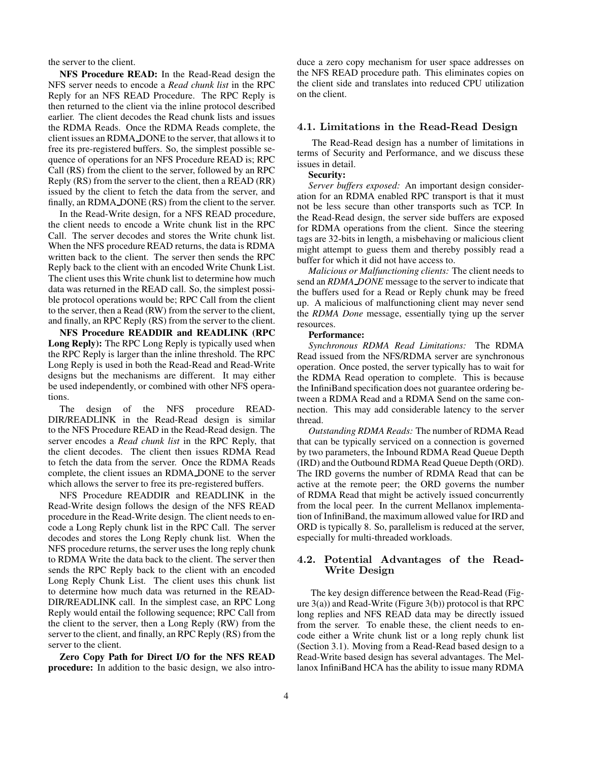the server to the client.

**NFS Procedure READ:** In the Read-Read design the NFS server needs to encode a *Read chunk list* in the RPC Reply for an NFS READ Procedure. The RPC Reply is then returned to the client via the inline protocol described earlier. The client decodes the Read chunk lists and issues the RDMA Reads. Once the RDMA Reads complete, the client issues an RDMA DONE to the server, that allows it to free its pre-registered buffers. So, the simplest possible sequence of operations for an NFS Procedure READ is; RPC Call (RS) from the client to the server, followed by an RPC Reply (RS) from the server to the client, then a READ (RR) issued by the client to fetch the data from the server, and finally, an RDMA DONE (RS) from the client to the server.

In the Read-Write design, for a NFS READ procedure, the client needs to encode a Write chunk list in the RPC Call. The server decodes and stores the Write chunk list. When the NFS procedure READ returns, the data is RDMA written back to the client. The server then sends the RPC Reply back to the client with an encoded Write Chunk List. The client uses this Write chunk list to determine how much data was returned in the READ call. So, the simplest possible protocol operations would be; RPC Call from the client to the server, then a Read (RW) from the server to the client, and finally, an RPC Reply (RS) from the server to the client.

**NFS Procedure READDIR and READLINK (RPC Long Reply):** The RPC Long Reply is typically used when the RPC Reply is larger than the inline threshold. The RPC Long Reply is used in both the Read-Read and Read-Write designs but the mechanisms are different. It may either be used independently, or combined with other NFS operations.

The design of the NFS procedure READ-DIR/READLINK in the Read-Read design is similar to the NFS Procedure READ in the Read-Read design. The server encodes a *Read chunk list* in the RPC Reply, that the client decodes. The client then issues RDMA Read to fetch the data from the server. Once the RDMA Reads complete, the client issues an RDMA DONE to the server which allows the server to free its pre-registered buffers.

NFS Procedure READDIR and READLINK in the Read-Write design follows the design of the NFS READ procedure in the Read-Write design. The client needs to encode a Long Reply chunk list in the RPC Call. The server decodes and stores the Long Reply chunk list. When the NFS procedure returns, the server uses the long reply chunk to RDMA Write the data back to the client. The server then sends the RPC Reply back to the client with an encoded Long Reply Chunk List. The client uses this chunk list to determine how much data was returned in the READ-DIR/READLINK call. In the simplest case, an RPC Long Reply would entail the following sequence; RPC Call from the client to the server, then a Long Reply (RW) from the server to the client, and finally, an RPC Reply (RS) from the server to the client.

**Zero Copy Path for Direct I/O for the NFS READ procedure:** In addition to the basic design, we also introduce a zero copy mechanism for user space addresses on the NFS READ procedure path. This eliminates copies on the client side and translates into reduced CPU utilization on the client.

#### 4.1. Limitations in the Read-Read Design

The Read-Read design has a number of limitations in terms of Security and Performance, and we discuss these issues in detail.

#### **Security:**

*Server buffers exposed:* An important design consideration for an RDMA enabled RPC transport is that it must not be less secure than other transports such as TCP. In the Read-Read design, the server side buffers are exposed for RDMA operations from the client. Since the steering tags are 32-bits in length, a misbehaving or malicious client might attempt to guess them and thereby possibly read a buffer for which it did not have access to.

*Malicious or Malfunctioning clients:* The client needs to send an *RDMA DONE* message to the server to indicate that the buffers used for a Read or Reply chunk may be freed up. A malicious of malfunctioning client may never send the *RDMA Done* message, essentially tying up the server resources.

#### **Performance:**

*Synchronous RDMA Read Limitations:* The RDMA Read issued from the NFS/RDMA server are synchronous operation. Once posted, the server typically has to wait for the RDMA Read operation to complete. This is because the InfiniBand specification does not guarantee ordering between a RDMA Read and a RDMA Send on the same connection. This may add considerable latency to the server thread.

*Outstanding RDMA Reads:* The number of RDMA Read that can be typically serviced on a connection is governed by two parameters, the Inbound RDMA Read Queue Depth (IRD) and the OutboundRDMA Read Queue Depth (ORD). The IRD governs the number of RDMA Read that can be active at the remote peer; the ORD governs the number of RDMA Read that might be actively issued concurrently from the local peer. In the current Mellanox implementation of InfiniBand, the maximum allowed value for IRD and ORD is typically 8. So, parallelism is reduced at the server, especially for multi-threaded workloads.

#### 4.2. Potential Advantages of the Read-Write Design

The key design difference between the Read-Read (Figure  $3(a)$ ) and Read-Write (Figure  $3(b)$ ) protocol is that RPC long replies and NFS READ data may be directly issued from the server. To enable these, the client needs to encode either a Write chunk list or a long reply chunk list (Section 3.1). Moving from a Read-Read based design to a Read-Write based design has several advantages. The Mellanox InfiniBand HCA has the ability to issue many RDMA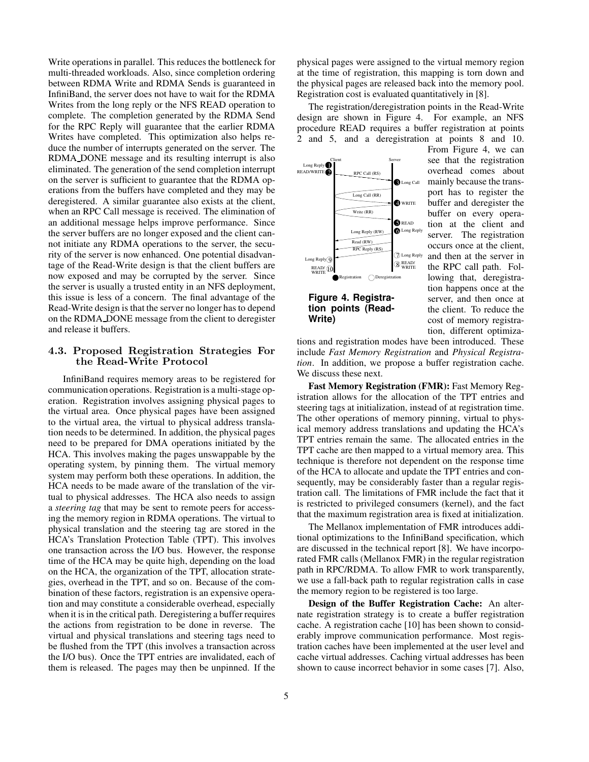Write operations in parallel. This reduces the bottleneck for multi-threaded workloads. Also, since completion ordering between RDMA Write and RDMA Sends is guaranteed in InfiniBand, the server does not have to wait for the RDMA Writes from the long reply or the NFS READ operation to complete. The completion generated by the RDMA Send for the RPC Reply will guarantee that the earlier RDMA Writes have completed. This optimization also helps reduce the number of interrupts generated on the server. The RDMA DONE message and its resulting interrupt is also eliminated. The generation of the send completion interrupt on the server is sufficient to guarantee that the RDMA operations from the buffers have completed and they may be deregistered. A similar guarantee also exists at the client, when an RPC Call message is received. The elimination of an additional message helps improve performance. Since the server buffers are no longer exposed and the client cannot initiate any RDMA operations to the server, the security of the server is now enhanced. One potential disadvantage of the Read-Write design is that the client buffers are now exposed and may be corrupted by the server. Since the server is usually a trusted entity in an NFS deployment, this issue is less of a concern. The final advantage of the Read-Write design is that the server no longer has to depend on the RDMA DONE message from the client to deregister and release it buffers.

#### 4.3. Proposed Registration Strategies For the Read-Write Protocol

InfiniBand requires memory areas to be registered for communication operations. Registration is a multi-stage operation. Registration involves assigning physical pages to the virtual area. Once physical pages have been assigned to the virtual area, the virtual to physical address translation needs to be determined. In addition, the physical pages need to be prepared for DMA operations initiated by the HCA. This involves making the pages unswappable by the operating system, by pinning them. The virtual memory system may perform both these operations. In addition, the HCA needs to be made aware of the translation of the virtual to physical addresses. The HCA also needs to assign a *steering tag* that may be sent to remote peers for accessing the memory region in RDMA operations. The virtual to physical translation and the steering tag are stored in the HCA's Translation Protection Table (TPT). This involves one transaction across the I/O bus. However, the response time of the HCA may be quite high, depending on the load on the HCA, the organization of the TPT, allocation strategies, overhead in the TPT, and so on. Because of the combination of these factors, registration is an expensive operation and may constitute a considerable overhead, especially when it is in the critical path. Deregistering a buffer requires the actions from registration to be done in reverse. The virtual and physical translations and steering tags need to be flushed from the TPT (this involves a transaction across the I/O bus). Once the TPT entries are invalidated, each of them is released. The pages may then be unpinned. If the physical pages were assigned to the virtual memory region at the time of registration, this mapping is torn down and the physical pages are released back into the memory pool. Registration cost is evaluated quantitatively in [8].

The registration/deregistration points in the Read-Write design are shown in Figure 4. For example, an NFS procedure READ requires a buffer registration at points 2 and 5, and a deregistration at points 8 and 10.



1 tion at the client and see that the registration overhead comes about mainly because the transport has to register the buffer and deregister the buffer on every operaserver. The registration occurs once at the client, and then at the server in the RPC call path. Following that, deregistration happens once at the server, and then once at the client. To reduce the cost of memory registration, different optimiza-

tions and registration modes have been introduced. These include *Fast Memory Registration* and *Physical Registration*. In addition, we propose a buffer registration cache. We discuss these next.

**Fast Memory Registration (FMR):** Fast Memory Registration allows for the allocation of the TPT entries and steering tags at initialization, instead of at registration time. The other operations of memory pinning, virtual to physical memory address translations and updating the HCA's TPT entries remain the same. The allocated entries in the TPT cache are then mapped to a virtual memory area. This technique is therefore not dependent on the response time of the HCA to allocate and update the TPT entries and consequently, may be considerably faster than a regular registration call. The limitations of FMR include the fact that it is restricted to privileged consumers (kernel), and the fact that the maximum registration area is fixed at initialization.

The Mellanox implementation of FMR introduces additional optimizations to the InfiniBand specification, which are discussed in the technical report [8]. We have incorporated FMR calls (Mellanox FMR) in the regular registration path in RPC/RDMA. To allow FMR to work transparently, we use a fall-back path to regular registration calls in case the memory region to be registered is too large.

**Design of the Buffer Registration Cache:** An alternate registration strategy is to create a buffer registration cache. A registration cache [10] has been shown to considerably improve communication performance. Most registration caches have been implemented at the user level and cache virtual addresses. Caching virtual addresses has been shown to cause incorrect behavior in some cases [7]. Also,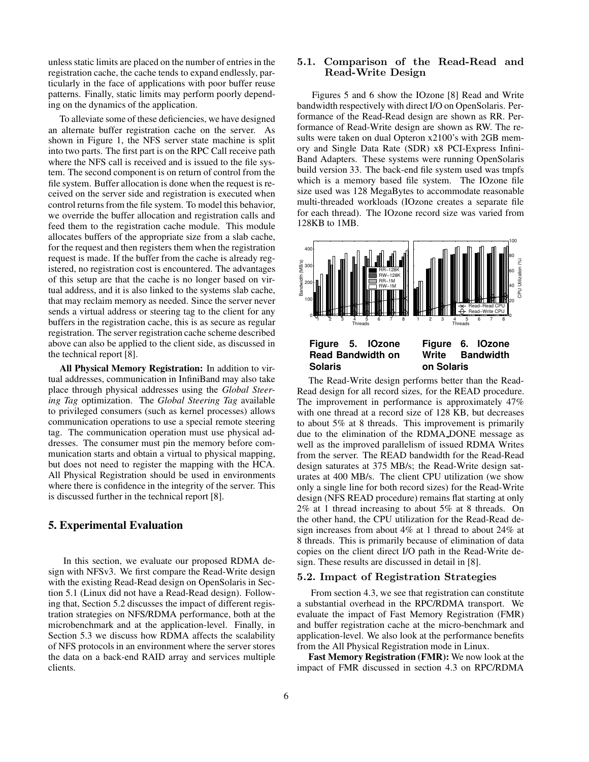unless static limits are placed on the number of entries in the registration cache, the cache tends to expand endlessly, particularly in the face of applications with poor buffer reuse patterns. Finally, static limits may perform poorly depending on the dynamics of the application.

To alleviate some of these deficiencies, we have designed an alternate buffer registration cache on the server. As shown in Figure 1, the NFS server state machine is split into two parts. The first part is on the RPC Call receive path where the NFS call is received and is issued to the file system. The second component is on return of control from the file system. Buffer allocation is done when the request is received on the server side and registration is executed when control returns from the file system. To model this behavior, we override the buffer allocation and registration calls and feed them to the registration cache module. This module allocates buffers of the appropriate size from a slab cache, for the request and then registers them when the registration request is made. If the buffer from the cache is already registered, no registration cost is encountered. The advantages of this setup are that the cache is no longer based on virtual address, and it is also linked to the systems slab cache, that may reclaim memory as needed. Since the server never sends a virtual address or steering tag to the client for any buffers in the registration cache, this is as secure as regular registration. The server registration cache scheme described above can also be applied to the client side, as discussed in the technical report [8].

**All Physical Memory Registration:** In addition to virtual addresses, communication in InfiniBand may also take place through physical addresses using the *Global Steering Tag* optimization. The *Global Steering Tag* available to privileged consumers (such as kernel processes) allows communication operations to use a special remote steering tag. The communication operation must use physical addresses. The consumer must pin the memory before communication starts and obtain a virtual to physical mapping, but does not need to register the mapping with the HCA. All Physical Registration should be used in environments where there is confidence in the integrity of the server. This is discussed further in the technical report [8].

## **5. Experimental Evaluation**

In this section, we evaluate our proposed RDMA design with NFSv3. We first compare the Read-Write design with the existing Read-Read design on OpenSolaris in Section 5.1 (Linux did not have a Read-Read design). Following that, Section 5.2 discusses the impact of different registration strategies on NFS/RDMA performance, both at the microbenchmark and at the application-level. Finally, in Section 5.3 we discuss how RDMA affects the scalability of NFS protocols in an environment where the server stores the data on a back-end RAID array and services multiple clients.

### 5.1. Comparison of the Read-Read and Read-Write Design

Figures 5 and 6 show the IOzone [8] Read and Write bandwidth respectively with direct I/O on OpenSolaris. Performance of the Read-Read design are shown as RR. Performance of Read-Write design are shown as RW. The results were taken on dual Opteron x2100's with 2GB memory and Single Data Rate (SDR) x8 PCI-Express Infini-Band Adapters. These systems were running OpenSolaris build version 33. The back-end file system used was tmpfs which is a memory based file system. The IOzone file size used was 128 MegaBytes to accommodate reasonable multi-threaded workloads (IOzone creates a separate file for each thread). The IOzone record size was varied from 128KB to 1MB.



#### **Figure 5. IOzone Read Bandwidth on Solaris Figure 6. IOzone Write Bandwidth on Solaris**

The Read-Write design performs better than the Read-Read design for all record sizes, for the READ procedure. The improvement in performance is approximately 47% with one thread at a record size of 128 KB, but decreases to about 5% at 8 threads. This improvement is primarily due to the elimination of the RDMA DONE message as well as the improved parallelism of issued RDMA Writes from the server. The READ bandwidth for the Read-Read design saturates at 375 MB/s; the Read-Write design saturates at 400 MB/s. The client CPU utilization (we show only a single line for both record sizes) for the Read-Write design (NFS READ procedure) remains flat starting at only 2% at 1 thread increasing to about 5% at 8 threads. On the other hand, the CPU utilization for the Read-Read design increases from about 4% at 1 thread to about 24% at 8 threads. This is primarily because of elimination of data copies on the client direct I/O path in the Read-Write design. These results are discussed in detail in [8].

#### 5.2. Impact of Registration Strategies

From section 4.3, we see that registration can constitute a substantial overhead in the RPC/RDMA transport. We evaluate the impact of Fast Memory Registration (FMR) and buffer registration cache at the micro-benchmark and application-level. We also look at the performance benefits from the All Physical Registration mode in Linux.

**Fast Memory Registration (FMR):** We now look at the impact of FMR discussed in section 4.3 on RPC/RDMA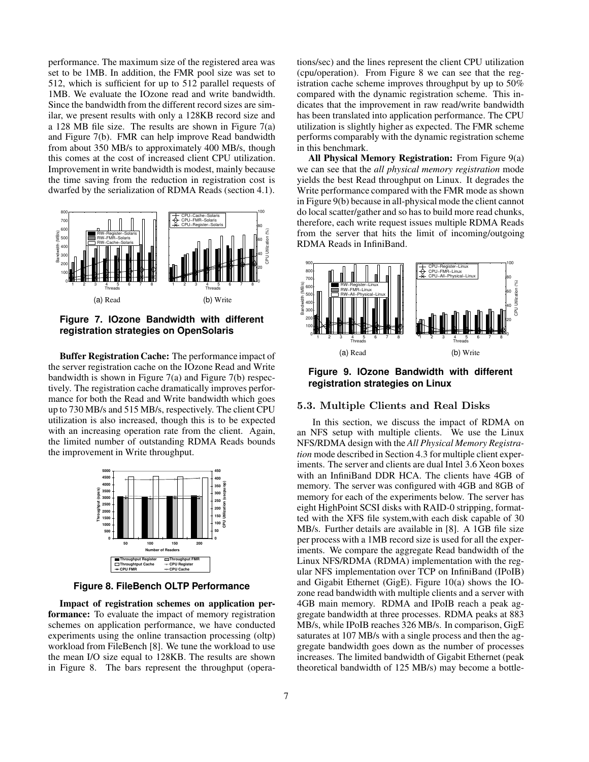performance. The maximum size of the registered area was set to be 1MB. In addition, the FMR pool size was set to 512, which is sufficient for up to 512 parallel requests of 1MB. We evaluate the IOzone read and write bandwidth. Since the bandwidth from the different record sizes are similar, we present results with only a 128KB record size and a 128 MB file size. The results are shown in Figure 7(a) and Figure 7(b). FMR can help improve Read bandwidth from about 350 MB/s to approximately 400 MB/s, though this comes at the cost of increased client CPU utilization. Improvement in write bandwidth is modest, mainly because the time saving from the reduction in registration cost is dwarfed by the serialization of RDMA Reads (section 4.1).



**Figure 7. IOzone Bandwidth with different registration strategies on OpenSolaris**

**Buffer Registration Cache:** The performance impact of the server registration cache on the IOzone Read and Write bandwidth is shown in Figure 7(a) and Figure 7(b) respectively. The registration cache dramatically improves performance for both the Read and Write bandwidth which goes up to 730 MB/s and 515 MB/s, respectively. The client CPU utilization is also increased, though this is to be expected with an increasing operation rate from the client. Again, the limited number of outstanding RDMA Reads bounds the improvement in Write throughput.



**Figure 8. FileBench OLTP Performance**

**Impact of registration schemes on application performance:** To evaluate the impact of memory registration schemes on application performance, we have conducted experiments using the online transaction processing (oltp) workload from FileBench [8]. We tune the workload to use the mean I/O size equal to 128KB. The results are shown in Figure 8. The bars represent the throughput (operations/sec) and the lines represent the client CPU utilization (cpu/operation). From Figure 8 we can see that the registration cache scheme improves throughput by up to 50% compared with the dynamic registration scheme. This indicates that the improvement in raw read/write bandwidth has been translated into application performance. The CPU utilization is slightly higher as expected. The FMR scheme performs comparably with the dynamic registration scheme in this benchmark.

**All Physical Memory Registration:** From Figure 9(a) we can see that the *all physical memory registration* mode yields the best Read throughput on Linux. It degrades the Write performance compared with the FMR mode as shown in Figure 9(b) because in all-physical mode the client cannot do local scatter/gather and so has to build more read chunks, therefore, each write request issues multiple RDMA Reads from the server that hits the limit of incoming/outgoing RDMA Reads in InfiniBand.



**Figure 9. IOzone Bandwidth with different registration strategies on Linux**

### 5.3. Multiple Clients and Real Disks

In this section, we discuss the impact of RDMA on an NFS setup with multiple clients. We use the Linux NFS/RDMA design with the *All Physical Memory Registration* mode described in Section 4.3 for multiple client experiments. The server and clients are dual Intel 3.6 Xeon boxes with an InfiniBand DDR HCA. The clients have 4GB of memory. The server was configured with 4GB and 8GB of memory for each of the experiments below. The server has eight HighPoint SCSI disks with RAID-0 stripping, formatted with the XFS file system,with each disk capable of 30 MB/s. Further details are available in [8]. A 1GB file size per process with a 1MB record size is used for all the experiments. We compare the aggregate Read bandwidth of the Linux NFS/RDMA (RDMA) implementation with the regular NFS implementation over TCP on InfiniBand (IPoIB) and Gigabit Ethernet (GigE). Figure 10(a) shows the IOzone read bandwidth with multiple clients and a server with 4GB main memory. RDMA and IPoIB reach a peak aggregate bandwidth at three processes. RDMA peaks at 883 MB/s, while IPoIB reaches 326 MB/s. In comparison, GigE saturates at 107 MB/s with a single process and then the aggregate bandwidth goes down as the number of processes increases. The limited bandwidth of Gigabit Ethernet (peak theoretical bandwidth of 125 MB/s) may become a bottle-